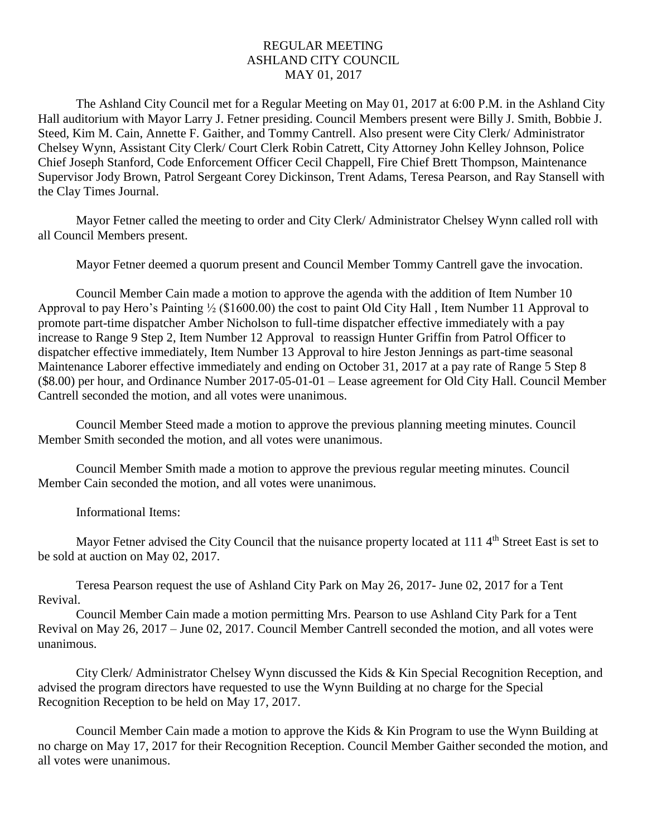## REGULAR MEETING ASHLAND CITY COUNCIL MAY 01, 2017

The Ashland City Council met for a Regular Meeting on May 01, 2017 at 6:00 P.M. in the Ashland City Hall auditorium with Mayor Larry J. Fetner presiding. Council Members present were Billy J. Smith, Bobbie J. Steed, Kim M. Cain, Annette F. Gaither, and Tommy Cantrell. Also present were City Clerk/ Administrator Chelsey Wynn, Assistant City Clerk/ Court Clerk Robin Catrett, City Attorney John Kelley Johnson, Police Chief Joseph Stanford, Code Enforcement Officer Cecil Chappell, Fire Chief Brett Thompson, Maintenance Supervisor Jody Brown, Patrol Sergeant Corey Dickinson, Trent Adams, Teresa Pearson, and Ray Stansell with the Clay Times Journal.

Mayor Fetner called the meeting to order and City Clerk/ Administrator Chelsey Wynn called roll with all Council Members present.

Mayor Fetner deemed a quorum present and Council Member Tommy Cantrell gave the invocation.

Council Member Cain made a motion to approve the agenda with the addition of Item Number 10 Approval to pay Hero's Painting ½ (\$1600.00) the cost to paint Old City Hall , Item Number 11 Approval to promote part-time dispatcher Amber Nicholson to full-time dispatcher effective immediately with a pay increase to Range 9 Step 2, Item Number 12 Approval to reassign Hunter Griffin from Patrol Officer to dispatcher effective immediately, Item Number 13 Approval to hire Jeston Jennings as part-time seasonal Maintenance Laborer effective immediately and ending on October 31, 2017 at a pay rate of Range 5 Step 8 (\$8.00) per hour, and Ordinance Number 2017-05-01-01 – Lease agreement for Old City Hall. Council Member Cantrell seconded the motion, and all votes were unanimous.

Council Member Steed made a motion to approve the previous planning meeting minutes. Council Member Smith seconded the motion, and all votes were unanimous.

Council Member Smith made a motion to approve the previous regular meeting minutes. Council Member Cain seconded the motion, and all votes were unanimous.

Informational Items:

Mayor Fetner advised the City Council that the nuisance property located at 111 4<sup>th</sup> Street East is set to be sold at auction on May 02, 2017.

Teresa Pearson request the use of Ashland City Park on May 26, 2017- June 02, 2017 for a Tent Revival.

Council Member Cain made a motion permitting Mrs. Pearson to use Ashland City Park for a Tent Revival on May 26, 2017 – June 02, 2017. Council Member Cantrell seconded the motion, and all votes were unanimous.

City Clerk/ Administrator Chelsey Wynn discussed the Kids & Kin Special Recognition Reception, and advised the program directors have requested to use the Wynn Building at no charge for the Special Recognition Reception to be held on May 17, 2017.

Council Member Cain made a motion to approve the Kids & Kin Program to use the Wynn Building at no charge on May 17, 2017 for their Recognition Reception. Council Member Gaither seconded the motion, and all votes were unanimous.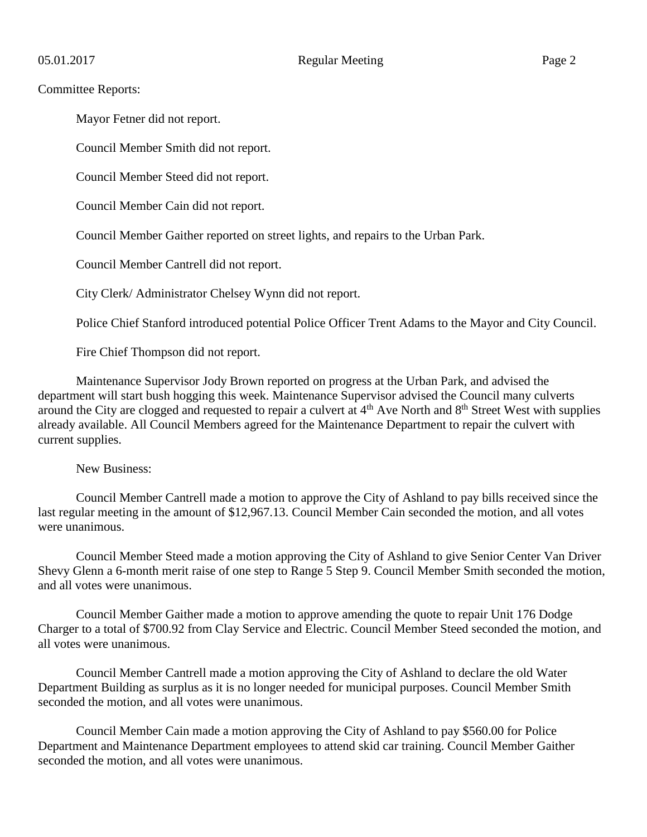## Committee Reports:

Mayor Fetner did not report.

Council Member Smith did not report.

Council Member Steed did not report.

Council Member Cain did not report.

Council Member Gaither reported on street lights, and repairs to the Urban Park.

Council Member Cantrell did not report.

City Clerk/ Administrator Chelsey Wynn did not report.

Police Chief Stanford introduced potential Police Officer Trent Adams to the Mayor and City Council.

Fire Chief Thompson did not report.

Maintenance Supervisor Jody Brown reported on progress at the Urban Park, and advised the department will start bush hogging this week. Maintenance Supervisor advised the Council many culverts around the City are clogged and requested to repair a culvert at  $4<sup>th</sup>$  Ave North and  $8<sup>th</sup>$  Street West with supplies already available. All Council Members agreed for the Maintenance Department to repair the culvert with current supplies.

## New Business:

Council Member Cantrell made a motion to approve the City of Ashland to pay bills received since the last regular meeting in the amount of \$12,967.13. Council Member Cain seconded the motion, and all votes were unanimous.

Council Member Steed made a motion approving the City of Ashland to give Senior Center Van Driver Shevy Glenn a 6-month merit raise of one step to Range 5 Step 9. Council Member Smith seconded the motion, and all votes were unanimous.

Council Member Gaither made a motion to approve amending the quote to repair Unit 176 Dodge Charger to a total of \$700.92 from Clay Service and Electric. Council Member Steed seconded the motion, and all votes were unanimous.

Council Member Cantrell made a motion approving the City of Ashland to declare the old Water Department Building as surplus as it is no longer needed for municipal purposes. Council Member Smith seconded the motion, and all votes were unanimous.

Council Member Cain made a motion approving the City of Ashland to pay \$560.00 for Police Department and Maintenance Department employees to attend skid car training. Council Member Gaither seconded the motion, and all votes were unanimous.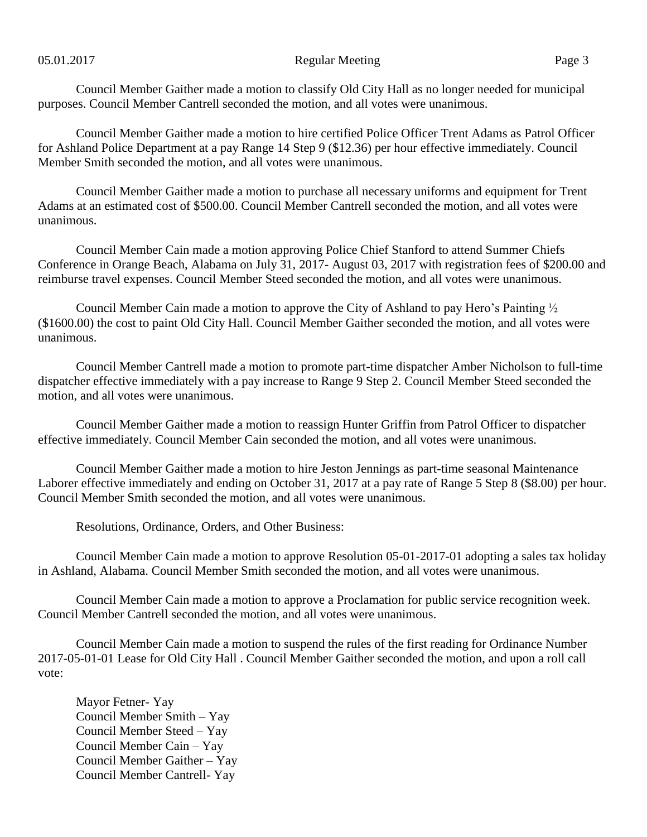## 05.01.2017 Page 3

Council Member Gaither made a motion to classify Old City Hall as no longer needed for municipal purposes. Council Member Cantrell seconded the motion, and all votes were unanimous.

Council Member Gaither made a motion to hire certified Police Officer Trent Adams as Patrol Officer for Ashland Police Department at a pay Range 14 Step 9 (\$12.36) per hour effective immediately. Council Member Smith seconded the motion, and all votes were unanimous.

Council Member Gaither made a motion to purchase all necessary uniforms and equipment for Trent Adams at an estimated cost of \$500.00. Council Member Cantrell seconded the motion, and all votes were unanimous.

Council Member Cain made a motion approving Police Chief Stanford to attend Summer Chiefs Conference in Orange Beach, Alabama on July 31, 2017- August 03, 2017 with registration fees of \$200.00 and reimburse travel expenses. Council Member Steed seconded the motion, and all votes were unanimous.

Council Member Cain made a motion to approve the City of Ashland to pay Hero's Painting ½ (\$1600.00) the cost to paint Old City Hall. Council Member Gaither seconded the motion, and all votes were unanimous.

Council Member Cantrell made a motion to promote part-time dispatcher Amber Nicholson to full-time dispatcher effective immediately with a pay increase to Range 9 Step 2. Council Member Steed seconded the motion, and all votes were unanimous.

Council Member Gaither made a motion to reassign Hunter Griffin from Patrol Officer to dispatcher effective immediately. Council Member Cain seconded the motion, and all votes were unanimous.

Council Member Gaither made a motion to hire Jeston Jennings as part-time seasonal Maintenance Laborer effective immediately and ending on October 31, 2017 at a pay rate of Range 5 Step 8 (\$8.00) per hour. Council Member Smith seconded the motion, and all votes were unanimous.

Resolutions, Ordinance, Orders, and Other Business:

Council Member Cain made a motion to approve Resolution 05-01-2017-01 adopting a sales tax holiday in Ashland, Alabama. Council Member Smith seconded the motion, and all votes were unanimous.

Council Member Cain made a motion to approve a Proclamation for public service recognition week. Council Member Cantrell seconded the motion, and all votes were unanimous.

Council Member Cain made a motion to suspend the rules of the first reading for Ordinance Number 2017-05-01-01 Lease for Old City Hall . Council Member Gaither seconded the motion, and upon a roll call vote:

Mayor Fetner- Yay Council Member Smith – Yay Council Member Steed – Yay Council Member Cain – Yay Council Member Gaither – Yay Council Member Cantrell- Yay